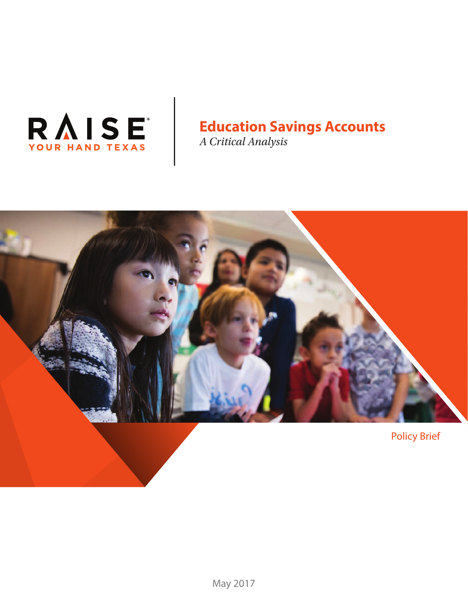

# **Education Savings Accounts**

*A Critical Analysis*

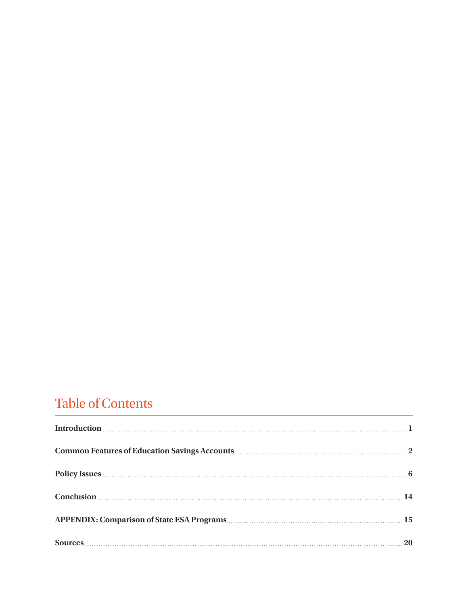# Table of Contents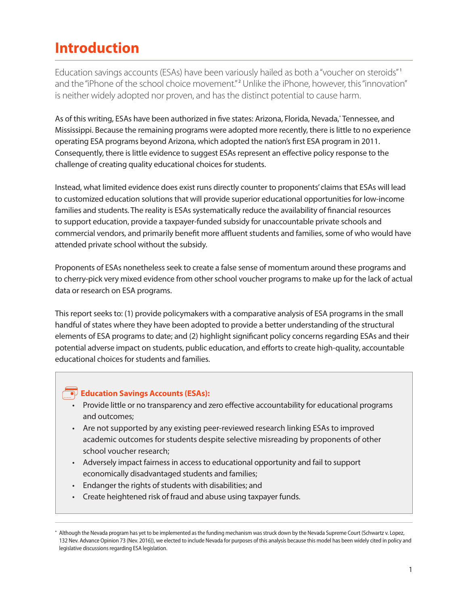# **Introduction**

Education savings accounts (ESAs) have been variously hailed as both a "voucher on steroids" <sup>1</sup> and the "iPhone of the school choice movement."<sup>2</sup> Unlike the iPhone, however, this "innovation" is neither widely adopted nor proven, and has the distinct potential to cause harm.

As of this writing, ESAs have been authorized in five states: Arizona, Florida, Nevada,\* Tennessee, and Mississippi. Because the remaining programs were adopted more recently, there is little to no experience operating ESA programs beyond Arizona, which adopted the nation's first ESA program in 2011. Consequently, there is little evidence to suggest ESAs represent an effective policy response to the challenge of creating quality educational choices for students.

Instead, what limited evidence does exist runs directly counter to proponents' claims that ESAs will lead to customized education solutions that will provide superior educational opportunities for low-income families and students. The reality is ESAs systematically reduce the availability of financial resources to support education, provide a taxpayer-funded subsidy for unaccountable private schools and commercial vendors, and primarily benefit more affluent students and families, some of who would have attended private school without the subsidy.

Proponents of ESAs nonetheless seek to create a false sense of momentum around these programs and to cherry-pick very mixed evidence from other school voucher programs to make up for the lack of actual data or research on ESA programs.

This report seeks to: (1) provide policymakers with a comparative analysis of ESA programs in the small handful of states where they have been adopted to provide a better understanding of the structural elements of ESA programs to date; and (2) highlight significant policy concerns regarding ESAs and their potential adverse impact on students, public education, and efforts to create high-quality, accountable educational choices for students and families.

# **Education Savings Accounts (ESAs):**

- Provide little or no transparency and zero effective accountability for educational programs and outcomes;
- Are not supported by any existing peer-reviewed research linking ESAs to improved academic outcomes for students despite selective misreading by proponents of other school voucher research;
- Adversely impact fairness in access to educational opportunity and fail to support economically disadvantaged students and families;
- Endanger the rights of students with disabilities; and
- Create heightened risk of fraud and abuse using taxpayer funds.

<sup>\*</sup> Although the Nevada program has yet to be implemented as the funding mechanism was struck down by the Nevada Supreme Court (Schwartz v. Lopez, 132 Nev. Advance Opinion 73 (Nev. 2016)), we elected to include Nevada for purposes of this analysis because this model has been widely cited in policy and legislative discussions regarding ESA legislation.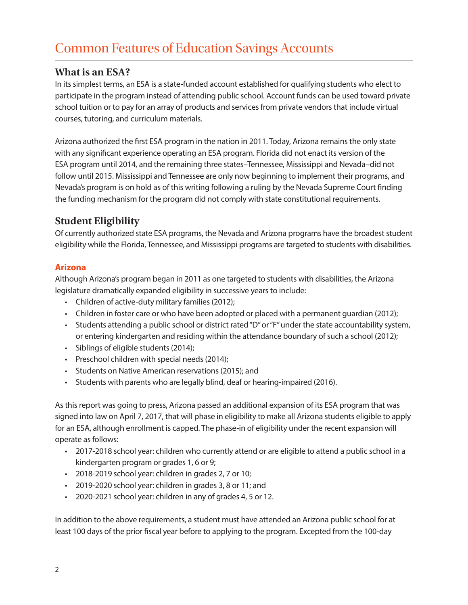# **What is an ESA?**

In its simplest terms, an ESA is a state-funded account established for qualifying students who elect to participate in the program instead of attending public school. Account funds can be used toward private school tuition or to pay for an array of products and services from private vendors that include virtual courses, tutoring, and curriculum materials.

Arizona authorized the first ESA program in the nation in 2011. Today, Arizona remains the only state with any significant experience operating an ESA program. Florida did not enact its version of the ESA program until 2014, and the remaining three states–Tennessee, Mississippi and Nevada–did not follow until 2015. Mississippi and Tennessee are only now beginning to implement their programs, and Nevada's program is on hold as of this writing following a ruling by the Nevada Supreme Court finding the funding mechanism for the program did not comply with state constitutional requirements.

# **Student Eligibility**

Of currently authorized state ESA programs, the Nevada and Arizona programs have the broadest student eligibility while the Florida, Tennessee, and Mississippi programs are targeted to students with disabilities.

### **Arizona**

Although Arizona's program began in 2011 as one targeted to students with disabilities, the Arizona legislature dramatically expanded eligibility in successive years to include:

- Children of active-duty military families (2012);
- Children in foster care or who have been adopted or placed with a permanent guardian (2012);
- Students attending a public school or district rated "D" or "F" under the state accountability system, or entering kindergarten and residing within the attendance boundary of such a school (2012);
- Siblings of eligible students (2014);
- Preschool children with special needs (2014);
- Students on Native American reservations (2015); and
- Students with parents who are legally blind, deaf or hearing-impaired (2016).

As this report was going to press, Arizona passed an additional expansion of its ESA program that was signed into law on April 7, 2017, that will phase in eligibility to make all Arizona students eligible to apply for an ESA, although enrollment is capped. The phase-in of eligibility under the recent expansion will operate as follows:

- 2017-2018 school year: children who currently attend or are eligible to attend a public school in a kindergarten program or grades 1, 6 or 9;
- 2018-2019 school year: children in grades 2, 7 or 10;
- 2019-2020 school year: children in grades 3, 8 or 11; and
- 2020-2021 school year: children in any of grades 4, 5 or 12.

In addition to the above requirements, a student must have attended an Arizona public school for at least 100 days of the prior fiscal year before to applying to the program. Excepted from the 100-day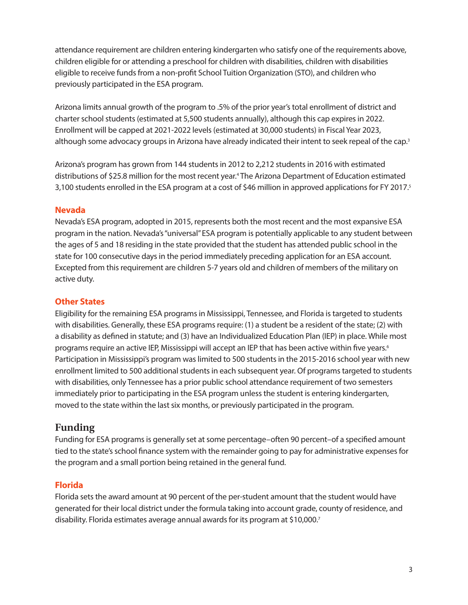attendance requirement are children entering kindergarten who satisfy one of the requirements above, children eligible for or attending a preschool for children with disabilities, children with disabilities eligible to receive funds from a non-profit School Tuition Organization (STO), and children who previously participated in the ESA program.

Arizona limits annual growth of the program to .5% of the prior year's total enrollment of district and charter school students (estimated at 5,500 students annually), although this cap expires in 2022. Enrollment will be capped at 2021-2022 levels (estimated at 30,000 students) in Fiscal Year 2023, although some advocacy groups in Arizona have already indicated their intent to seek repeal of the cap.<sup>3</sup>

Arizona's program has grown from 144 students in 2012 to 2,212 students in 2016 with estimated distributions of \$25.8 million for the most recent year.4 The Arizona Department of Education estimated 3,100 students enrolled in the ESA program at a cost of \$46 million in approved applications for FY 2017.5

### **Nevada**

Nevada's ESA program, adopted in 2015, represents both the most recent and the most expansive ESA program in the nation. Nevada's "universal" ESA program is potentially applicable to any student between the ages of 5 and 18 residing in the state provided that the student has attended public school in the state for 100 consecutive days in the period immediately preceding application for an ESA account. Excepted from this requirement are children 5-7 years old and children of members of the military on active duty.

### **Other States**

Eligibility for the remaining ESA programs in Mississippi, Tennessee, and Florida is targeted to students with disabilities. Generally, these ESA programs require: (1) a student be a resident of the state; (2) with a disability as defined in statute; and (3) have an Individualized Education Plan (IEP) in place. While most programs require an active IEP, Mississippi will accept an IEP that has been active within five years.<sup>6</sup> Participation in Mississippi's program was limited to 500 students in the 2015-2016 school year with new enrollment limited to 500 additional students in each subsequent year. Of programs targeted to students with disabilities, only Tennessee has a prior public school attendance requirement of two semesters immediately prior to participating in the ESA program unless the student is entering kindergarten, moved to the state within the last six months, or previously participated in the program.

# **Funding**

Funding for ESA programs is generally set at some percentage–often 90 percent–of a specified amount tied to the state's school finance system with the remainder going to pay for administrative expenses for the program and a small portion being retained in the general fund.

#### **Florida**

Florida sets the award amount at 90 percent of the per-student amount that the student would have generated for their local district under the formula taking into account grade, county of residence, and disability. Florida estimates average annual awards for its program at \$10,000.7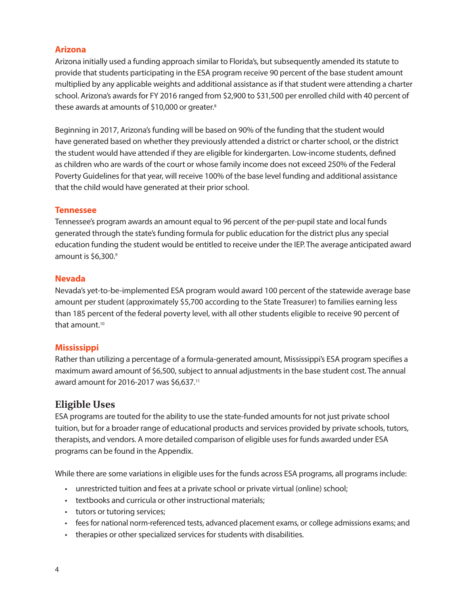### **Arizona**

Arizona initially used a funding approach similar to Florida's, but subsequently amended its statute to provide that students participating in the ESA program receive 90 percent of the base student amount multiplied by any applicable weights and additional assistance as if that student were attending a charter school. Arizona's awards for FY 2016 ranged from \$2,900 to \$31,500 per enrolled child with 40 percent of these awards at amounts of \$10,000 or greater.8

Beginning in 2017, Arizona's funding will be based on 90% of the funding that the student would have generated based on whether they previously attended a district or charter school, or the district the student would have attended if they are eligible for kindergarten. Low-income students, defined as children who are wards of the court or whose family income does not exceed 250% of the Federal Poverty Guidelines for that year, will receive 100% of the base level funding and additional assistance that the child would have generated at their prior school.

### **Tennessee**

Tennessee's program awards an amount equal to 96 percent of the per-pupil state and local funds generated through the state's funding formula for public education for the district plus any special education funding the student would be entitled to receive under the IEP. The average anticipated award amount is \$6,300.9

### **Nevada**

Nevada's yet-to-be-implemented ESA program would award 100 percent of the statewide average base amount per student (approximately \$5,700 according to the State Treasurer) to families earning less than 185 percent of the federal poverty level, with all other students eligible to receive 90 percent of that amount.<sup>10</sup>

### **Mississippi**

Rather than utilizing a percentage of a formula-generated amount, Mississippi's ESA program specifies a maximum award amount of \$6,500, subject to annual adjustments in the base student cost. The annual award amount for 2016-2017 was \$6,637.11

# **Eligible Uses**

ESA programs are touted for the ability to use the state-funded amounts for not just private school tuition, but for a broader range of educational products and services provided by private schools, tutors, therapists, and vendors. A more detailed comparison of eligible uses for funds awarded under ESA programs can be found in the Appendix.

While there are some variations in eligible uses for the funds across ESA programs, all programs include:

- unrestricted tuition and fees at a private school or private virtual (online) school;
- textbooks and curricula or other instructional materials;
- tutors or tutoring services;
- fees for national norm-referenced tests, advanced placement exams, or college admissions exams; and
- therapies or other specialized services for students with disabilities.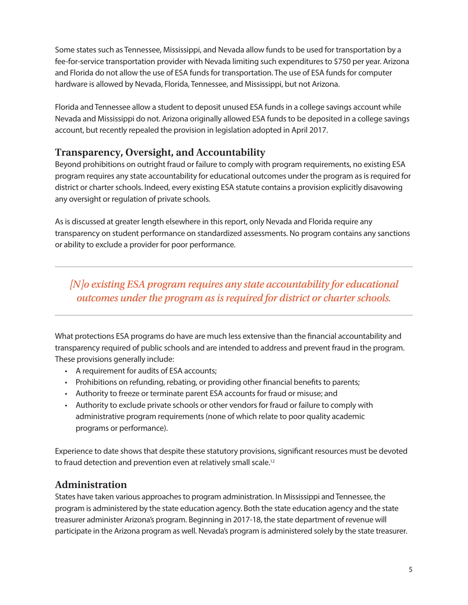Some states such as Tennessee, Mississippi, and Nevada allow funds to be used for transportation by a fee-for-service transportation provider with Nevada limiting such expenditures to \$750 per year. Arizona and Florida do not allow the use of ESA funds for transportation. The use of ESA funds for computer hardware is allowed by Nevada, Florida, Tennessee, and Mississippi, but not Arizona.

Florida and Tennessee allow a student to deposit unused ESA funds in a college savings account while Nevada and Mississippi do not. Arizona originally allowed ESA funds to be deposited in a college savings account, but recently repealed the provision in legislation adopted in April 2017.

# **Transparency, Oversight, and Accountability**

Beyond prohibitions on outright fraud or failure to comply with program requirements, no existing ESA program requires any state accountability for educational outcomes under the program as is required for district or charter schools. Indeed, every existing ESA statute contains a provision explicitly disavowing any oversight or regulation of private schools.

As is discussed at greater length elsewhere in this report, only Nevada and Florida require any transparency on student performance on standardized assessments. No program contains any sanctions or ability to exclude a provider for poor performance.

*[N]o existing ESA program requires any state accountability for educational outcomes under the program as is required for district or charter schools.*

What protections ESA programs do have are much less extensive than the financial accountability and transparency required of public schools and are intended to address and prevent fraud in the program. These provisions generally include:

- A requirement for audits of ESA accounts;
- Prohibitions on refunding, rebating, or providing other financial benefits to parents;
- Authority to freeze or terminate parent ESA accounts for fraud or misuse; and
- Authority to exclude private schools or other vendors for fraud or failure to comply with administrative program requirements (none of which relate to poor quality academic programs or performance).

Experience to date shows that despite these statutory provisions, significant resources must be devoted to fraud detection and prevention even at relatively small scale.<sup>12</sup>

# **Administration**

States have taken various approaches to program administration. In Mississippi and Tennessee, the program is administered by the state education agency. Both the state education agency and the state treasurer administer Arizona's program. Beginning in 2017-18, the state department of revenue will participate in the Arizona program as well. Nevada's program is administered solely by the state treasurer.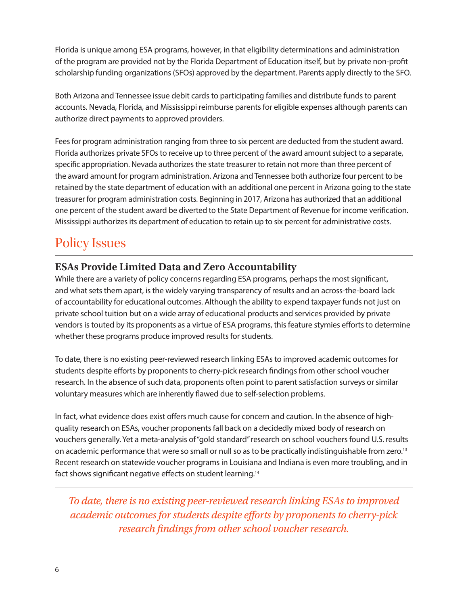Florida is unique among ESA programs, however, in that eligibility determinations and administration of the program are provided not by the Florida Department of Education itself, but by private non-profit scholarship funding organizations (SFOs) approved by the department. Parents apply directly to the SFO.

Both Arizona and Tennessee issue debit cards to participating families and distribute funds to parent accounts. Nevada, Florida, and Mississippi reimburse parents for eligible expenses although parents can authorize direct payments to approved providers.

Fees for program administration ranging from three to six percent are deducted from the student award. Florida authorizes private SFOs to receive up to three percent of the award amount subject to a separate, specific appropriation. Nevada authorizes the state treasurer to retain not more than three percent of the award amount for program administration. Arizona and Tennessee both authorize four percent to be retained by the state department of education with an additional one percent in Arizona going to the state treasurer for program administration costs. Beginning in 2017, Arizona has authorized that an additional one percent of the student award be diverted to the State Department of Revenue for income verification. Mississippi authorizes its department of education to retain up to six percent for administrative costs.

# Policy Issues

# **ESAs Provide Limited Data and Zero Accountability**

While there are a variety of policy concerns regarding ESA programs, perhaps the most significant, and what sets them apart, is the widely varying transparency of results and an across-the-board lack of accountability for educational outcomes. Although the ability to expend taxpayer funds not just on private school tuition but on a wide array of educational products and services provided by private vendors is touted by its proponents as a virtue of ESA programs, this feature stymies efforts to determine whether these programs produce improved results for students.

To date, there is no existing peer-reviewed research linking ESAs to improved academic outcomes for students despite efforts by proponents to cherry-pick research findings from other school voucher research. In the absence of such data, proponents often point to parent satisfaction surveys or similar voluntary measures which are inherently flawed due to self-selection problems.

In fact, what evidence does exist offers much cause for concern and caution. In the absence of highquality research on ESAs, voucher proponents fall back on a decidedly mixed body of research on vouchers generally. Yet a meta-analysis of "gold standard" research on school vouchers found U.S. results on academic performance that were so small or null so as to be practically indistinguishable from zero.13 Recent research on statewide voucher programs in Louisiana and Indiana is even more troubling, and in fact shows significant negative effects on student learning.14

*To date, there is no existing peer-reviewed research linking ESAs to improved academic outcomes for students despite efforts by proponents to cherry-pick research findings from other school voucher research.*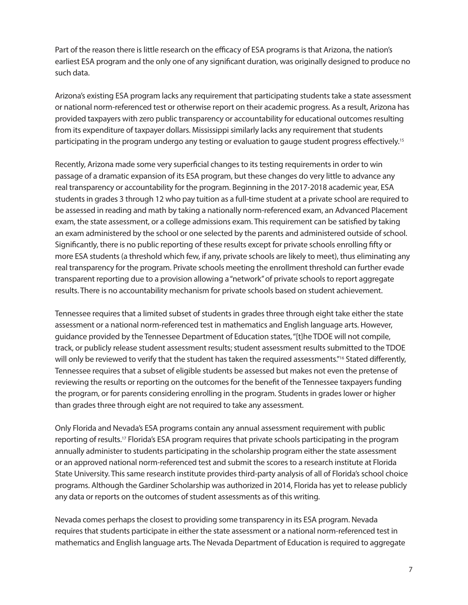Part of the reason there is little research on the efficacy of ESA programs is that Arizona, the nation's earliest ESA program and the only one of any significant duration, was originally designed to produce no such data.

Arizona's existing ESA program lacks any requirement that participating students take a state assessment or national norm-referenced test or otherwise report on their academic progress. As a result, Arizona has provided taxpayers with zero public transparency or accountability for educational outcomes resulting from its expenditure of taxpayer dollars. Mississippi similarly lacks any requirement that students participating in the program undergo any testing or evaluation to gauge student progress effectively.15

Recently, Arizona made some very superficial changes to its testing requirements in order to win passage of a dramatic expansion of its ESA program, but these changes do very little to advance any real transparency or accountability for the program. Beginning in the 2017-2018 academic year, ESA students in grades 3 through 12 who pay tuition as a full-time student at a private school are required to be assessed in reading and math by taking a nationally norm-referenced exam, an Advanced Placement exam, the state assessment, or a college admissions exam. This requirement can be satisfied by taking an exam administered by the school or one selected by the parents and administered outside of school. Significantly, there is no public reporting of these results except for private schools enrolling fifty or more ESA students (a threshold which few, if any, private schools are likely to meet), thus eliminating any real transparency for the program. Private schools meeting the enrollment threshold can further evade transparent reporting due to a provision allowing a "network" of private schools to report aggregate results. There is no accountability mechanism for private schools based on student achievement.

Tennessee requires that a limited subset of students in grades three through eight take either the state assessment or a national norm-referenced test in mathematics and English language arts. However, guidance provided by the Tennessee Department of Education states, "[t]he TDOE will not compile, track, or publicly release student assessment results; student assessment results submitted to the TDOE will only be reviewed to verify that the student has taken the required assessments."<sup>16</sup> Stated differently, Tennessee requires that a subset of eligible students be assessed but makes not even the pretense of reviewing the results or reporting on the outcomes for the benefit of the Tennessee taxpayers funding the program, or for parents considering enrolling in the program. Students in grades lower or higher than grades three through eight are not required to take any assessment.

Only Florida and Nevada's ESA programs contain any annual assessment requirement with public reporting of results.17 Florida's ESA program requires that private schools participating in the program annually administer to students participating in the scholarship program either the state assessment or an approved national norm-referenced test and submit the scores to a research institute at Florida State University. This same research institute provides third-party analysis of all of Florida's school choice programs. Although the Gardiner Scholarship was authorized in 2014, Florida has yet to release publicly any data or reports on the outcomes of student assessments as of this writing.

Nevada comes perhaps the closest to providing some transparency in its ESA program. Nevada requires that students participate in either the state assessment or a national norm-referenced test in mathematics and English language arts. The Nevada Department of Education is required to aggregate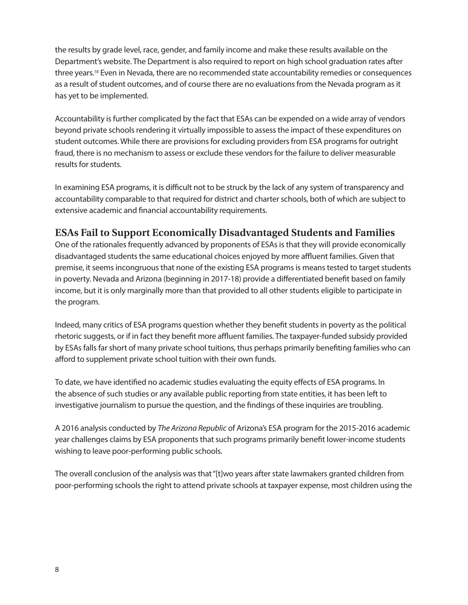the results by grade level, race, gender, and family income and make these results available on the Department's website. The Department is also required to report on high school graduation rates after three years.18 Even in Nevada, there are no recommended state accountability remedies or consequences as a result of student outcomes, and of course there are no evaluations from the Nevada program as it has yet to be implemented.

Accountability is further complicated by the fact that ESAs can be expended on a wide array of vendors beyond private schools rendering it virtually impossible to assess the impact of these expenditures on student outcomes. While there are provisions for excluding providers from ESA programs for outright fraud, there is no mechanism to assess or exclude these vendors for the failure to deliver measurable results for students.

In examining ESA programs, it is difficult not to be struck by the lack of any system of transparency and accountability comparable to that required for district and charter schools, both of which are subject to extensive academic and financial accountability requirements.

# **ESAs Fail to Support Economically Disadvantaged Students and Families**

One of the rationales frequently advanced by proponents of ESAs is that they will provide economically disadvantaged students the same educational choices enjoyed by more affluent families. Given that premise, it seems incongruous that none of the existing ESA programs is means tested to target students in poverty. Nevada and Arizona (beginning in 2017-18) provide a differentiated benefit based on family income, but it is only marginally more than that provided to all other students eligible to participate in the program.

Indeed, many critics of ESA programs question whether they benefit students in poverty as the political rhetoric suggests, or if in fact they benefit more affluent families. The taxpayer-funded subsidy provided by ESAs falls far short of many private school tuitions, thus perhaps primarily benefiting families who can afford to supplement private school tuition with their own funds.

To date, we have identified no academic studies evaluating the equity effects of ESA programs. In the absence of such studies or any available public reporting from state entities, it has been left to investigative journalism to pursue the question, and the findings of these inquiries are troubling.

A 2016 analysis conducted by *The Arizona Republic* of Arizona's ESA program for the 2015-2016 academic year challenges claims by ESA proponents that such programs primarily benefit lower-income students wishing to leave poor-performing public schools.

The overall conclusion of the analysis was that "[t]wo years after state lawmakers granted children from poor-performing schools the right to attend private schools at taxpayer expense, most children using the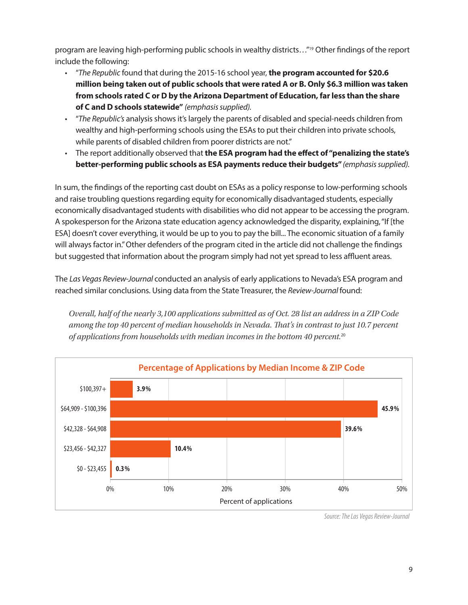program are leaving high-performing public schools in wealthy districts..."<sup>19</sup> Other findings of the report include the following:

- "*The Republic* found that during the 2015-16 school year, **the program accounted for \$20.6 million being taken out of public schools that were rated A or B. Only \$6.3 million was taken from schools rated C or D by the Arizona Department of Education, far less than the share of C and D schools statewide"** *(emphasis supplied).*
- "*The Republic's* analysis shows it's largely the parents of disabled and special-needs children from wealthy and high-performing schools using the ESAs to put their children into private schools, while parents of disabled children from poorer districts are not."
- The report additionally observed that **the ESA program had the effect of "penalizing the state's better-performing public schools as ESA payments reduce their budgets"** *(emphasis supplied).*

In sum, the findings of the reporting cast doubt on ESAs as a policy response to low-performing schools and raise troubling questions regarding equity for economically disadvantaged students, especially economically disadvantaged students with disabilities who did not appear to be accessing the program. A spokesperson for the Arizona state education agency acknowledged the disparity, explaining, "If [the ESA] doesn't cover everything, it would be up to you to pay the bill... The economic situation of a family will always factor in." Other defenders of the program cited in the article did not challenge the findings but suggested that information about the program simply had not yet spread to less affluent areas.

The *Las Vegas Review-Journal* conducted an analysis of early applications to Nevada's ESA program and reached similar conclusions. Using data from the State Treasurer, the *Review-Journal* found:

*Overall, half of the nearly 3,100 applications submitted as of Oct. 28 list an address in a ZIP Code among the top 40 percent of median households in Nevada. That's in contrast to just 10.7 percent of applications from households with median incomes in the bottom 40 percent.*<sup>20</sup>



*Source: The Las Vegas Review-Journal*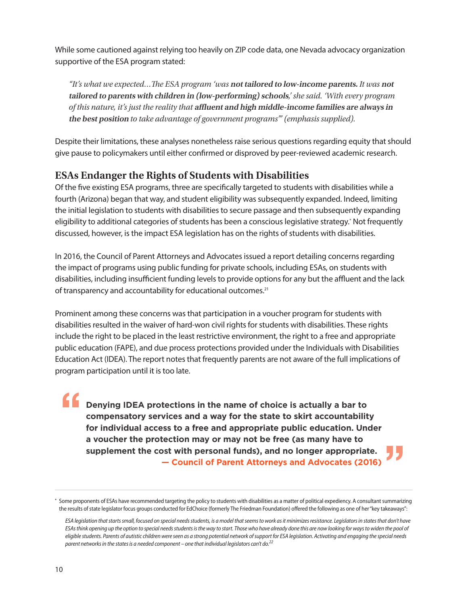While some cautioned against relying too heavily on ZIP code data, one Nevada advocacy organization supportive of the ESA program stated:

*"It's what we expected…The ESA program 'was* **not tailored to low-income parents.** *It was* **not tailored to parents with children in (low-performing) schools***,' she said. 'With every program of this nature, it's just the reality that* **affluent and high middle-income families are always in the best position** *to take advantage of government programs'" (emphasis supplied).*

Despite their limitations, these analyses nonetheless raise serious questions regarding equity that should give pause to policymakers until either confirmed or disproved by peer-reviewed academic research.

# **ESAs Endanger the Rights of Students with Disabilities**

Of the five existing ESA programs, three are specifically targeted to students with disabilities while a fourth (Arizona) began that way, and student eligibility was subsequently expanded. Indeed, limiting the initial legislation to students with disabilities to secure passage and then subsequently expanding eligibility to additional categories of students has been a conscious legislative strategy.\* Not frequently discussed, however, is the impact ESA legislation has on the rights of students with disabilities.

In 2016, the Council of Parent Attorneys and Advocates issued a report detailing concerns regarding the impact of programs using public funding for private schools, including ESAs, on students with disabilities, including insufficient funding levels to provide options for any but the affluent and the lack of transparency and accountability for educational outcomes.21

Prominent among these concerns was that participation in a voucher program for students with disabilities resulted in the waiver of hard-won civil rights for students with disabilities. These rights include the right to be placed in the least restrictive environment, the right to a free and appropriate public education (FAPE), and due process protections provided under the Individuals with Disabilities Education Act (IDEA). The report notes that frequently parents are not aware of the full implications of program participation until it is too late.

**Denying IDEA protections in the name of choice is actually a bar to compensatory services and a way for the state to skirt accountability for individual access to a free and appropriate public education. Under a voucher the protection may or may not be free (as many have to supplement the cost with personal funds), and no longer appropriate. — Council of Parent Attorneys and Advocates (2016)**

<sup>\*</sup> Some proponents of ESAs have recommended targeting the policy to students with disabilities as a matter of political expediency. A consultant summarizing the results of state legislator focus groups conducted for EdChoice (formerly The Friedman Foundation) offered the following as one of her "key takeaways":

*ESA legislation that starts small, focused on special needs students, is a model that seems to work as it minimizes resistance. Legislators in states that don't have ESAs think opening up the option to special needs students is the way to start. Those who have already done this are now looking for ways to widen the pool of eligible students. Parents of autistic children were seen as a strong potential network of support for ESA legislation. Activating and engaging the special needs parent networks in the states is a needed component – one that individual legislators can't do.22*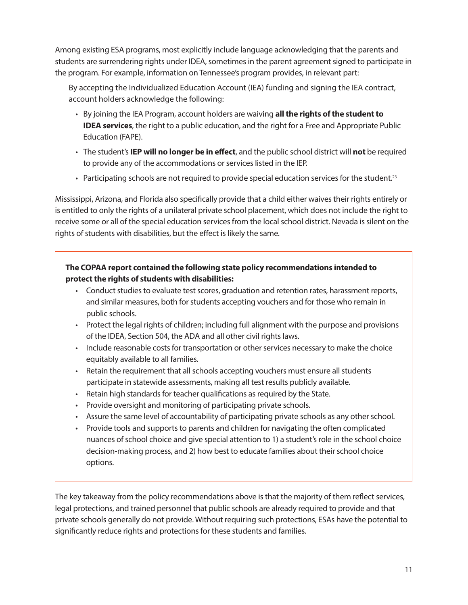Among existing ESA programs, most explicitly include language acknowledging that the parents and students are surrendering rights under IDEA, sometimes in the parent agreement signed to participate in the program. For example, information on Tennessee's program provides, in relevant part:

By accepting the Individualized Education Account (IEA) funding and signing the IEA contract, account holders acknowledge the following:

- By joining the IEA Program, account holders are waiving **all the rights of the student to IDEA services**, the right to a public education, and the right for a Free and Appropriate Public Education (FAPE).
- The student's **IEP will no longer be in effect**, and the public school district will **not** be required to provide any of the accommodations or services listed in the IEP.
- Participating schools are not required to provide special education services for the student.<sup>23</sup>

Mississippi, Arizona, and Florida also specifically provide that a child either waives their rights entirely or is entitled to only the rights of a unilateral private school placement, which does not include the right to receive some or all of the special education services from the local school district. Nevada is silent on the rights of students with disabilities, but the effect is likely the same.

## **The COPAA report contained the following state policy recommendations intended to protect the rights of students with disabilities:**

- Conduct studies to evaluate test scores, graduation and retention rates, harassment reports, and similar measures, both for students accepting vouchers and for those who remain in public schools.
- Protect the legal rights of children; including full alignment with the purpose and provisions of the IDEA, Section 504, the ADA and all other civil rights laws.
- Include reasonable costs for transportation or other services necessary to make the choice equitably available to all families.
- Retain the requirement that all schools accepting vouchers must ensure all students participate in statewide assessments, making all test results publicly available.
- Retain high standards for teacher qualifications as required by the State.
- Provide oversight and monitoring of participating private schools.
- Assure the same level of accountability of participating private schools as any other school.
- Provide tools and supports to parents and children for navigating the often complicated nuances of school choice and give special attention to 1) a student's role in the school choice decision-making process, and 2) how best to educate families about their school choice options.

The key takeaway from the policy recommendations above is that the majority of them reflect services, legal protections, and trained personnel that public schools are already required to provide and that private schools generally do not provide. Without requiring such protections, ESAs have the potential to significantly reduce rights and protections for these students and families.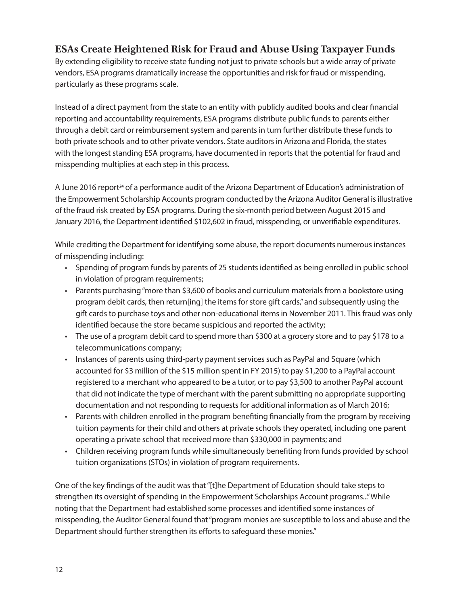# **ESAs Create Heightened Risk for Fraud and Abuse Using Taxpayer Funds**

By extending eligibility to receive state funding not just to private schools but a wide array of private vendors, ESA programs dramatically increase the opportunities and risk for fraud or misspending, particularly as these programs scale.

Instead of a direct payment from the state to an entity with publicly audited books and clear financial reporting and accountability requirements, ESA programs distribute public funds to parents either through a debit card or reimbursement system and parents in turn further distribute these funds to both private schools and to other private vendors. State auditors in Arizona and Florida, the states with the longest standing ESA programs, have documented in reports that the potential for fraud and misspending multiplies at each step in this process.

A June 2016 report<sup>24</sup> of a performance audit of the Arizona Department of Education's administration of the Empowerment Scholarship Accounts program conducted by the Arizona Auditor General is illustrative of the fraud risk created by ESA programs. During the six-month period between August 2015 and January 2016, the Department identified \$102,602 in fraud, misspending, or unverifiable expenditures.

While crediting the Department for identifying some abuse, the report documents numerous instances of misspending including:

- Spending of program funds by parents of 25 students identified as being enrolled in public school in violation of program requirements;
- Parents purchasing "more than \$3,600 of books and curriculum materials from a bookstore using program debit cards, then return[ing] the items for store gift cards," and subsequently using the gift cards to purchase toys and other non-educational items in November 2011. This fraud was only identified because the store became suspicious and reported the activity;
- The use of a program debit card to spend more than \$300 at a grocery store and to pay \$178 to a telecommunications company;
- Instances of parents using third-party payment services such as PayPal and Square (which accounted for \$3 million of the \$15 million spent in FY 2015) to pay \$1,200 to a PayPal account registered to a merchant who appeared to be a tutor, or to pay \$3,500 to another PayPal account that did not indicate the type of merchant with the parent submitting no appropriate supporting documentation and not responding to requests for additional information as of March 2016;
- Parents with children enrolled in the program benefiting financially from the program by receiving tuition payments for their child and others at private schools they operated, including one parent operating a private school that received more than \$330,000 in payments; and
- Children receiving program funds while simultaneously benefiting from funds provided by school tuition organizations (STOs) in violation of program requirements.

One of the key findings of the audit was that "[t]he Department of Education should take steps to strengthen its oversight of spending in the Empowerment Scholarships Account programs..." While noting that the Department had established some processes and identified some instances of misspending, the Auditor General found that "program monies are susceptible to loss and abuse and the Department should further strengthen its efforts to safeguard these monies."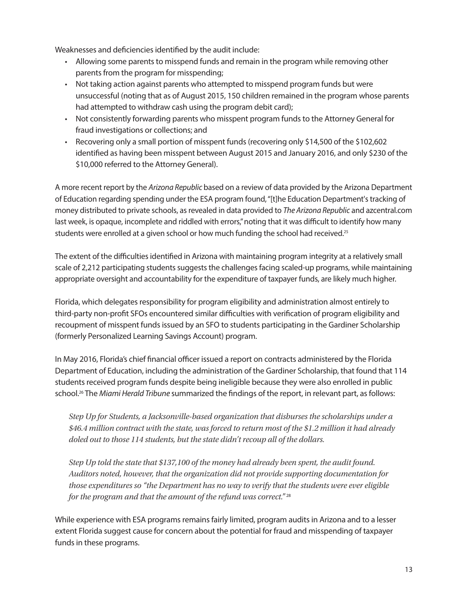Weaknesses and deficiencies identified by the audit include:

- Allowing some parents to misspend funds and remain in the program while removing other parents from the program for misspending;
- Not taking action against parents who attempted to misspend program funds but were unsuccessful (noting that as of August 2015, 150 children remained in the program whose parents had attempted to withdraw cash using the program debit card);
- Not consistently forwarding parents who misspent program funds to the Attorney General for fraud investigations or collections; and
- Recovering only a small portion of misspent funds (recovering only \$14,500 of the \$102,602 identified as having been misspent between August 2015 and January 2016, and only \$230 of the \$10,000 referred to the Attorney General).

A more recent report by the *Arizona Republic* based on a review of data provided by the Arizona Department of Education regarding spending under the ESA program found, "[t]he Education Department's tracking of money distributed to private schools, as revealed in data provided to *The Arizona Republic* and azcentral.com last week, is opaque, incomplete and riddled with errors," noting that it was difficult to identify how many students were enrolled at a given school or how much funding the school had received.<sup>25</sup>

The extent of the difficulties identified in Arizona with maintaining program integrity at a relatively small scale of 2,212 participating students suggests the challenges facing scaled-up programs, while maintaining appropriate oversight and accountability for the expenditure of taxpayer funds, are likely much higher.

Florida, which delegates responsibility for program eligibility and administration almost entirely to third-party non-profit SFOs encountered similar difficulties with verification of program eligibility and recoupment of misspent funds issued by an SFO to students participating in the Gardiner Scholarship (formerly Personalized Learning Savings Account) program.

In May 2016, Florida's chief financial officer issued a report on contracts administered by the Florida Department of Education, including the administration of the Gardiner Scholarship, that found that 114 students received program funds despite being ineligible because they were also enrolled in public school.26 The *Miami Herald Tribune* summarized the findings of the report, in relevant part, as follows:

*Step Up for Students, a Jacksonville-based organization that disburses the scholarships under a \$46.4 million contract with the state, was forced to return most of the \$1.2 million it had already doled out to those 114 students, but the state didn't recoup all of the dollars.*

*Step Up told the state that \$137,100 of the money had already been spent, the audit found. Auditors noted, however, that the organization did not provide supporting documentation for those expenditures so "the Department has no way to verify that the students were ever eligible for the program and that the amount of the refund was correct."* <sup>28</sup>

While experience with ESA programs remains fairly limited, program audits in Arizona and to a lesser extent Florida suggest cause for concern about the potential for fraud and misspending of taxpayer funds in these programs.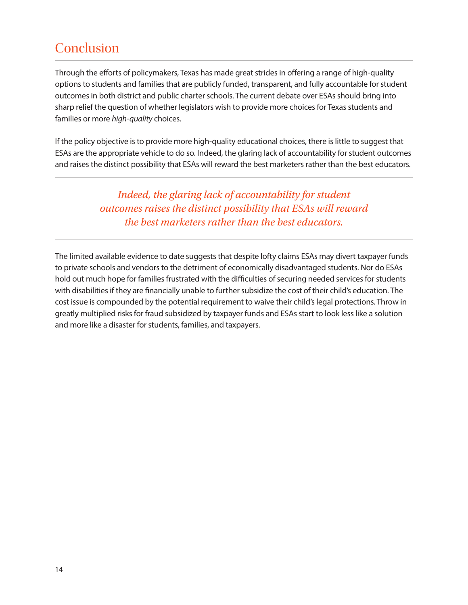# **Conclusion**

Through the efforts of policymakers, Texas has made great strides in offering a range of high-quality options to students and families that are publicly funded, transparent, and fully accountable for student outcomes in both district and public charter schools. The current debate over ESAs should bring into sharp relief the question of whether legislators wish to provide more choices for Texas students and families or more *high-quality* choices.

If the policy objective is to provide more high-quality educational choices, there is little to suggest that ESAs are the appropriate vehicle to do so. Indeed, the glaring lack of accountability for student outcomes and raises the distinct possibility that ESAs will reward the best marketers rather than the best educators.

> *Indeed, the glaring lack of accountability for student outcomes raises the distinct possibility that ESAs will reward the best marketers rather than the best educators.*

The limited available evidence to date suggests that despite lofty claims ESAs may divert taxpayer funds to private schools and vendors to the detriment of economically disadvantaged students. Nor do ESAs hold out much hope for families frustrated with the difficulties of securing needed services for students with disabilities if they are financially unable to further subsidize the cost of their child's education. The cost issue is compounded by the potential requirement to waive their child's legal protections. Throw in greatly multiplied risks for fraud subsidized by taxpayer funds and ESAs start to look less like a solution and more like a disaster for students, families, and taxpayers.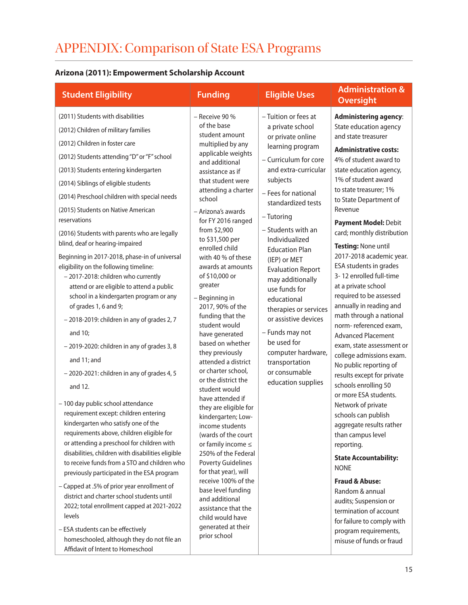# APPENDIX: Comparison of State ESA Programs

# **Arizona (2011): Empowerment Scholarship Account**

| <b>Student Eligibility</b>                                                                                                                                                                                                                                                                                                                                                                                                                                                                                                                                                                                                                                                                                                                                                                                                                                                                                                                                                                                                                                                                                                                                                                                                                                                                                                                                                                                                                                                            | <b>Funding</b>                                                                                                                                                                                                                                                                                                                                                                                                                                                                                                                                                                                                                                                                                                                                                                                                                                                                                                                                                 | <b>Eligible Uses</b>                                                                                                                                                                                                                                                                                                                                                                                                                                                                                                                         | <b>Administration &amp;</b><br><b>Oversight</b>                                                                                                                                                                                                                                                                                                                                                                                                                                                                                                                                                                                                                                                                                                                                                                                                                                                                                                                                                                                                                                                         |
|---------------------------------------------------------------------------------------------------------------------------------------------------------------------------------------------------------------------------------------------------------------------------------------------------------------------------------------------------------------------------------------------------------------------------------------------------------------------------------------------------------------------------------------------------------------------------------------------------------------------------------------------------------------------------------------------------------------------------------------------------------------------------------------------------------------------------------------------------------------------------------------------------------------------------------------------------------------------------------------------------------------------------------------------------------------------------------------------------------------------------------------------------------------------------------------------------------------------------------------------------------------------------------------------------------------------------------------------------------------------------------------------------------------------------------------------------------------------------------------|----------------------------------------------------------------------------------------------------------------------------------------------------------------------------------------------------------------------------------------------------------------------------------------------------------------------------------------------------------------------------------------------------------------------------------------------------------------------------------------------------------------------------------------------------------------------------------------------------------------------------------------------------------------------------------------------------------------------------------------------------------------------------------------------------------------------------------------------------------------------------------------------------------------------------------------------------------------|----------------------------------------------------------------------------------------------------------------------------------------------------------------------------------------------------------------------------------------------------------------------------------------------------------------------------------------------------------------------------------------------------------------------------------------------------------------------------------------------------------------------------------------------|---------------------------------------------------------------------------------------------------------------------------------------------------------------------------------------------------------------------------------------------------------------------------------------------------------------------------------------------------------------------------------------------------------------------------------------------------------------------------------------------------------------------------------------------------------------------------------------------------------------------------------------------------------------------------------------------------------------------------------------------------------------------------------------------------------------------------------------------------------------------------------------------------------------------------------------------------------------------------------------------------------------------------------------------------------------------------------------------------------|
| (2011) Students with disabilities<br>(2012) Children of military families<br>(2012) Children in foster care<br>(2012) Students attending "D" or "F" school<br>(2013) Students entering kindergarten<br>(2014) Siblings of eligible students<br>(2014) Preschool children with special needs<br>(2015) Students on Native American<br>reservations<br>(2016) Students with parents who are legally<br>blind, deaf or hearing-impaired<br>Beginning in 2017-2018, phase-in of universal<br>eligibility on the following timeline:<br>- 2017-2018: children who currently<br>attend or are eligible to attend a public<br>school in a kindergarten program or any<br>of grades 1, 6 and 9;<br>- 2018-2019: children in any of grades 2, 7<br>and 10;<br>- 2019-2020: children in any of grades 3, 8<br>and 11; and<br>- 2020-2021: children in any of grades 4, 5<br>and 12.<br>- 100 day public school attendance<br>requirement except: children entering<br>kindergarten who satisfy one of the<br>requirements above, children eligible for<br>or attending a preschool for children with<br>disabilities, children with disabilities eligible<br>to receive funds from a STO and children who<br>previously participated in the ESA program<br>- Capped at .5% of prior year enrollment of<br>district and charter school students until<br>2022; total enrollment capped at 2021-2022<br>levels<br>- ESA students can be effectively<br>homeschooled, although they do not file an | $-$ Receive 90 %<br>of the base<br>student amount<br>multiplied by any<br>applicable weights<br>and additional<br>assistance as if<br>that student were<br>attending a charter<br>school<br>- Arizona's awards<br>for FY 2016 ranged<br>from \$2,900<br>to \$31,500 per<br>enrolled child<br>with 40 % of these<br>awards at amounts<br>of \$10,000 or<br>greater<br>- Beginning in<br>2017, 90% of the<br>funding that the<br>student would<br>have generated<br>based on whether<br>they previously<br>attended a district<br>or charter school,<br>or the district the<br>student would<br>have attended if<br>they are eligible for<br>kindergarten; Low-<br>income students<br>(wards of the court<br>or family income $\leq$<br>250% of the Federal<br><b>Poverty Guidelines</b><br>for that year), will<br>receive 100% of the<br>base level funding<br>and additional<br>assistance that the<br>child would have<br>generated at their<br>prior school | - Tuition or fees at<br>a private school<br>or private online<br>learning program<br>- Curriculum for core<br>and extra-curricular<br>subjects<br>- Fees for national<br>standardized tests<br>- Tutoring<br>- Students with an<br>Individualized<br><b>Education Plan</b><br>(IEP) or MET<br><b>Evaluation Report</b><br>may additionally<br>use funds for<br>educational<br>therapies or services<br>or assistive devices<br>- Funds may not<br>be used for<br>computer hardware,<br>transportation<br>or consumable<br>education supplies | <b>Administering agency:</b><br>State education agency<br>and state treasurer<br><b>Administrative costs:</b><br>4% of student award to<br>state education agency,<br>1% of student award<br>to state treasurer; 1%<br>to State Department of<br>Revenue<br>Payment Model: Debit<br>card; monthly distribution<br>Testing: None until<br>2017-2018 academic year.<br>ESA students in grades<br>3-12 enrolled full-time<br>at a private school<br>required to be assessed<br>annually in reading and<br>math through a national<br>norm-referenced exam,<br><b>Advanced Placement</b><br>exam, state assessment or<br>college admissions exam.<br>No public reporting of<br>results except for private<br>schools enrolling 50<br>or more ESA students.<br>Network of private<br>schools can publish<br>aggregate results rather<br>than campus level<br>reporting.<br><b>State Accountability:</b><br><b>NONE</b><br><b>Fraud &amp; Abuse:</b><br>Random & annual<br>audits; Suspension or<br>termination of account<br>for failure to comply with<br>program requirements,<br>misuse of funds or fraud |
| Affidavit of Intent to Homeschool                                                                                                                                                                                                                                                                                                                                                                                                                                                                                                                                                                                                                                                                                                                                                                                                                                                                                                                                                                                                                                                                                                                                                                                                                                                                                                                                                                                                                                                     |                                                                                                                                                                                                                                                                                                                                                                                                                                                                                                                                                                                                                                                                                                                                                                                                                                                                                                                                                                |                                                                                                                                                                                                                                                                                                                                                                                                                                                                                                                                              |                                                                                                                                                                                                                                                                                                                                                                                                                                                                                                                                                                                                                                                                                                                                                                                                                                                                                                                                                                                                                                                                                                         |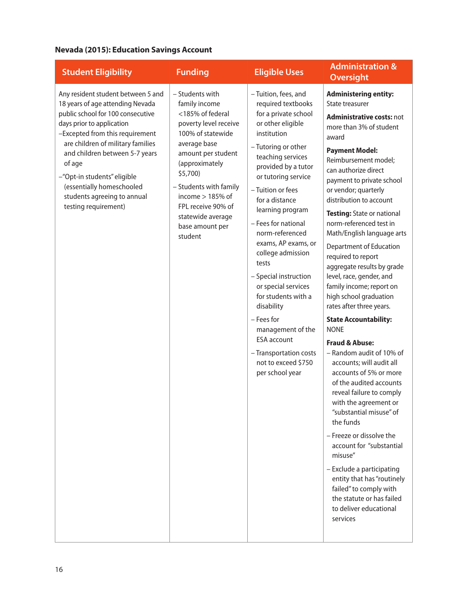## **Nevada (2015): Education Savings Account**

| <b>Student Eligibility</b>                                                                                                                                                                                                                                                                                                                                                      | <b>Funding</b>                                                                                                                                                                                                                                                                                  | <b>Eligible Uses</b>                                                                                                                                                                                                                                                                                                                                                                                                                                                                                                                                                        | <b>Administration &amp;</b><br><b>Oversight</b>                                                                                                                                                                                                                                                                                                                                                                                                                                                                                                                                                                                                                                                                                                                                                                                                                                                                                                                                                                                                                                       |
|---------------------------------------------------------------------------------------------------------------------------------------------------------------------------------------------------------------------------------------------------------------------------------------------------------------------------------------------------------------------------------|-------------------------------------------------------------------------------------------------------------------------------------------------------------------------------------------------------------------------------------------------------------------------------------------------|-----------------------------------------------------------------------------------------------------------------------------------------------------------------------------------------------------------------------------------------------------------------------------------------------------------------------------------------------------------------------------------------------------------------------------------------------------------------------------------------------------------------------------------------------------------------------------|---------------------------------------------------------------------------------------------------------------------------------------------------------------------------------------------------------------------------------------------------------------------------------------------------------------------------------------------------------------------------------------------------------------------------------------------------------------------------------------------------------------------------------------------------------------------------------------------------------------------------------------------------------------------------------------------------------------------------------------------------------------------------------------------------------------------------------------------------------------------------------------------------------------------------------------------------------------------------------------------------------------------------------------------------------------------------------------|
| Any resident student between 5 and<br>18 years of age attending Nevada<br>public school for 100 consecutive<br>days prior to application<br>-Excepted from this requirement<br>are children of military families<br>and children between 5-7 years<br>of age<br>-"Opt-in students" eligible<br>(essentially homeschooled<br>students agreeing to annual<br>testing requirement) | - Students with<br>family income<br><185% of federal<br>poverty level receive<br>100% of statewide<br>average base<br>amount per student<br>(approximately<br>\$5,700)<br>- Students with family<br>income $> 185%$ of<br>FPL receive 90% of<br>statewide average<br>base amount per<br>student | -Tuition, fees, and<br>required textbooks<br>for a private school<br>or other eligible<br>institution<br>- Tutoring or other<br>teaching services<br>provided by a tutor<br>or tutoring service<br>- Tuition or fees<br>for a distance<br>learning program<br>- Fees for national<br>norm-referenced<br>exams, AP exams, or<br>college admission<br>tests<br>- Special instruction<br>or special services<br>for students with a<br>disability<br>- Fees for<br>management of the<br><b>ESA</b> account<br>- Transportation costs<br>not to exceed \$750<br>per school year | <b>Administering entity:</b><br>State treasurer<br><b>Administrative costs: not</b><br>more than 3% of student<br>award<br><b>Payment Model:</b><br>Reimbursement model;<br>can authorize direct<br>payment to private school<br>or vendor; quarterly<br>distribution to account<br>Testing: State or national<br>norm-referenced test in<br>Math/English language arts<br>Department of Education<br>required to report<br>aggregate results by grade<br>level, race, gender, and<br>family income; report on<br>high school graduation<br>rates after three years.<br><b>State Accountability:</b><br><b>NONE</b><br><b>Fraud &amp; Abuse:</b><br>- Random audit of 10% of<br>accounts; will audit all<br>accounts of 5% or more<br>of the audited accounts<br>reveal failure to comply<br>with the agreement or<br>"substantial misuse" of<br>the funds<br>- Freeze or dissolve the<br>account for "substantial<br>misuse"<br>- Exclude a participating<br>entity that has "routinely<br>failed" to comply with<br>the statute or has failed<br>to deliver educational<br>services |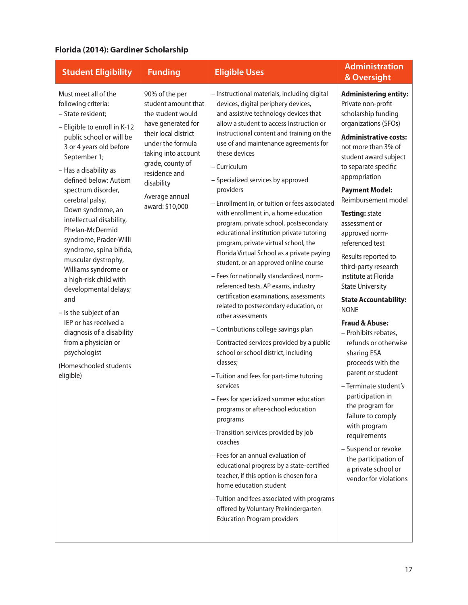### **Florida (2014): Gardiner Scholarship**

| <b>Student Eligibility</b>                                                                                                                                                                                                                                                                                                                                                                                                                                                                                                                                                                                                                                         | <b>Funding</b>                                                                                                                                                                                                                               | <b>Eligible Uses</b>                                                                                                                                                                                                                                                                                                                                                                                                                                                                                                                                                                                                                                                                                                                                                                                                                                                                                                                                                                                                                                                                                                                                                                                                                                                                                                                                                                                                                                                                                      | <b>Administration</b><br>& Oversight                                                                                                                                                                                                                                                                                                                                                                                                                                                                                                                                                                                                                                                                                                                                                                                                                                 |
|--------------------------------------------------------------------------------------------------------------------------------------------------------------------------------------------------------------------------------------------------------------------------------------------------------------------------------------------------------------------------------------------------------------------------------------------------------------------------------------------------------------------------------------------------------------------------------------------------------------------------------------------------------------------|----------------------------------------------------------------------------------------------------------------------------------------------------------------------------------------------------------------------------------------------|-----------------------------------------------------------------------------------------------------------------------------------------------------------------------------------------------------------------------------------------------------------------------------------------------------------------------------------------------------------------------------------------------------------------------------------------------------------------------------------------------------------------------------------------------------------------------------------------------------------------------------------------------------------------------------------------------------------------------------------------------------------------------------------------------------------------------------------------------------------------------------------------------------------------------------------------------------------------------------------------------------------------------------------------------------------------------------------------------------------------------------------------------------------------------------------------------------------------------------------------------------------------------------------------------------------------------------------------------------------------------------------------------------------------------------------------------------------------------------------------------------------|----------------------------------------------------------------------------------------------------------------------------------------------------------------------------------------------------------------------------------------------------------------------------------------------------------------------------------------------------------------------------------------------------------------------------------------------------------------------------------------------------------------------------------------------------------------------------------------------------------------------------------------------------------------------------------------------------------------------------------------------------------------------------------------------------------------------------------------------------------------------|
| Must meet all of the<br>following criteria:<br>- State resident;<br>- Eligible to enroll in K-12<br>public school or will be<br>3 or 4 years old before<br>September 1;<br>- Has a disability as<br>defined below: Autism<br>spectrum disorder,<br>cerebral palsy,<br>Down syndrome, an<br>intellectual disability,<br>Phelan-McDermid<br>syndrome, Prader-Willi<br>syndrome, spina bifida,<br>muscular dystrophy,<br>Williams syndrome or<br>a high-risk child with<br>developmental delays;<br>and<br>- Is the subject of an<br>IEP or has received a<br>diagnosis of a disability<br>from a physician or<br>psychologist<br>(Homeschooled students<br>eligible) | 90% of the per<br>student amount that<br>the student would<br>have generated for<br>their local district<br>under the formula<br>taking into account<br>grade, county of<br>residence and<br>disability<br>Average annual<br>award: \$10,000 | - Instructional materials, including digital<br>devices, digital periphery devices,<br>and assistive technology devices that<br>allow a student to access instruction or<br>instructional content and training on the<br>use of and maintenance agreements for<br>these devices<br>- Curriculum<br>- Specialized services by approved<br>providers<br>- Enrollment in, or tuition or fees associated<br>with enrollment in, a home education<br>program, private school, postsecondary<br>educational institution private tutoring<br>program, private virtual school, the<br>Florida Virtual School as a private paying<br>student, or an approved online course<br>- Fees for nationally standardized, norm-<br>referenced tests, AP exams, industry<br>certification examinations, assessments<br>related to postsecondary education, or<br>other assessments<br>- Contributions college savings plan<br>- Contracted services provided by a public<br>school or school district, including<br>classes:<br>- Tuition and fees for part-time tutoring<br>services<br>- Fees for specialized summer education<br>programs or after-school education<br>programs<br>- Transition services provided by job<br>coaches<br>- Fees for an annual evaluation of<br>educational progress by a state-certified<br>teacher, if this option is chosen for a<br>home education student<br>- Tuition and fees associated with programs<br>offered by Voluntary Prekindergarten<br><b>Education Program providers</b> | <b>Administering entity:</b><br>Private non-profit<br>scholarship funding<br>organizations (SFOs)<br><b>Administrative costs:</b><br>not more than 3% of<br>student award subject<br>to separate specific<br>appropriation<br><b>Payment Model:</b><br>Reimbursement model<br><b>Testing: state</b><br>assessment or<br>approved norm-<br>referenced test<br>Results reported to<br>third-party research<br>institute at Florida<br><b>State University</b><br><b>State Accountability:</b><br><b>NONE</b><br><b>Fraud &amp; Abuse:</b><br>- Prohibits rebates,<br>refunds or otherwise<br>sharing ESA<br>proceeds with the<br>parent or student<br>- Terminate student's<br>participation in<br>the program for<br>failure to comply<br>with program<br>requirements<br>- Suspend or revoke<br>the participation of<br>a private school or<br>vendor for violations |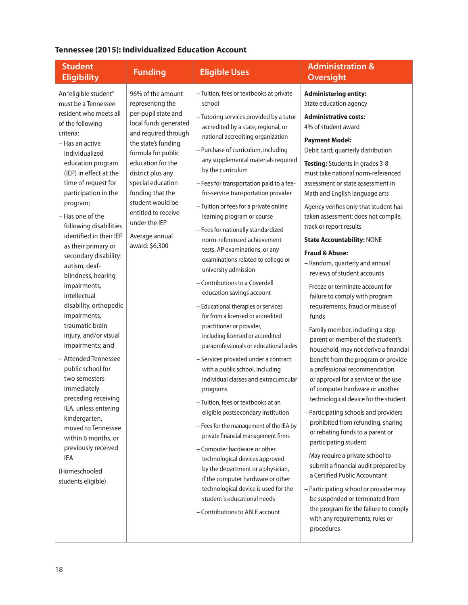## **Tennessee (2015): Individualized Education Account**

| <b>Student</b><br><b>Eligibility</b>                                                                                                                                                                                                                                                                                                                                                                                                                                                                                                                                                                                                                                                                                                                                                                                            | <b>Funding</b>                                                                                                                                                                                                                                                                                                                                | <b>Eligible Uses</b>                                                                                                                                                                                                                                                                                                                                                                                                                                                                                                                                                                                                                                                                                                                                                                                                                                                                                                                                                                                                                                                                                                                                                                                                                                                                                                                                                                                                  | <b>Administration &amp;</b><br><b>Oversight</b>                                                                                                                                                                                                                                                                                                                                                                                                                                                                                                                                                                                                                                                                                                                                                                                                                                                                                                                                                                                                                                                                                                                                                                                                                                                                                                                                                                                               |
|---------------------------------------------------------------------------------------------------------------------------------------------------------------------------------------------------------------------------------------------------------------------------------------------------------------------------------------------------------------------------------------------------------------------------------------------------------------------------------------------------------------------------------------------------------------------------------------------------------------------------------------------------------------------------------------------------------------------------------------------------------------------------------------------------------------------------------|-----------------------------------------------------------------------------------------------------------------------------------------------------------------------------------------------------------------------------------------------------------------------------------------------------------------------------------------------|-----------------------------------------------------------------------------------------------------------------------------------------------------------------------------------------------------------------------------------------------------------------------------------------------------------------------------------------------------------------------------------------------------------------------------------------------------------------------------------------------------------------------------------------------------------------------------------------------------------------------------------------------------------------------------------------------------------------------------------------------------------------------------------------------------------------------------------------------------------------------------------------------------------------------------------------------------------------------------------------------------------------------------------------------------------------------------------------------------------------------------------------------------------------------------------------------------------------------------------------------------------------------------------------------------------------------------------------------------------------------------------------------------------------------|-----------------------------------------------------------------------------------------------------------------------------------------------------------------------------------------------------------------------------------------------------------------------------------------------------------------------------------------------------------------------------------------------------------------------------------------------------------------------------------------------------------------------------------------------------------------------------------------------------------------------------------------------------------------------------------------------------------------------------------------------------------------------------------------------------------------------------------------------------------------------------------------------------------------------------------------------------------------------------------------------------------------------------------------------------------------------------------------------------------------------------------------------------------------------------------------------------------------------------------------------------------------------------------------------------------------------------------------------------------------------------------------------------------------------------------------------|
| An "eligible student"<br>must be a Tennessee<br>resident who meets all<br>of the following<br>criteria:<br>- Has an active<br>individualized<br>education program<br>(IEP) in effect at the<br>time of request for<br>participation in the<br>program;<br>- Has one of the<br>following disabilities<br>identified in their IEP<br>as their primary or<br>secondary disability:<br>autism, deaf-<br>blindness, hearing<br>impairments,<br>intellectual<br>disability, orthopedic<br>impairments,<br>traumatic brain<br>injury, and/or visual<br>impairments; and<br>- Attended Tennessee<br>public school for<br>two semesters<br>immediately<br>preceding receiving<br>IEA, unless entering<br>kindergarten,<br>moved to Tennessee<br>within 6 months, or<br>previously received<br>IEA<br>(Homeschooled<br>students eligible) | 96% of the amount<br>representing the<br>per-pupil state and<br>local funds generated<br>and required through<br>the state's funding<br>formula for public<br>education for the<br>district plus any<br>special education<br>funding that the<br>student would be<br>entitled to receive<br>under the IEP<br>Average annual<br>award: \$6,300 | - Tuition, fees or textbooks at private<br>school<br>- Tutoring services provided by a tutor<br>accredited by a state, regional, or<br>national accrediting organization<br>- Purchase of curriculum, including<br>any supplemental materials required<br>by the curriculum<br>- Fees for transportation paid to a fee-<br>for-service transportation provider<br>- Tuition or fees for a private online<br>learning program or course<br>- Fees for nationally standardized<br>norm-referenced achievement<br>tests, AP examinations, or any<br>examinations related to college or<br>university admission<br>- Contributions to a Coverdell<br>education savings account<br>- Educational therapies or services<br>for from a licensed or accredited<br>practitioner or provider,<br>including licensed or accredited<br>paraprofessionals or educational aides<br>- Services provided under a contract<br>with a public school, including<br>individual classes and extracurricular<br>programs<br>- Tuition, fees or textbooks at an<br>eligible postsecondary institution<br>- Fees for the management of the IEA by<br>private financial management firms<br>- Computer hardware or other<br>technological devices approved<br>by the department or a physician,<br>if the computer hardware or other<br>technological device is used for the<br>student's educational needs<br>- Contributions to ABLE account | <b>Administering entity:</b><br>State education agency<br><b>Administrative costs:</b><br>4% of student award<br><b>Payment Model:</b><br>Debit card; quarterly distribution<br>Testing: Students in grades 3-8<br>must take national norm-referenced<br>assessment or state assessment in<br>Math and English language arts<br>Agency verifies only that student has<br>taken assessment; does not compile,<br>track or report results<br><b>State Accountability: NONE</b><br><b>Fraud &amp; Abuse:</b><br>- Random, quarterly and annual<br>reviews of student accounts<br>- Freeze or terminate account for<br>failure to comply with program<br>requirements, fraud or misuse of<br>funds<br>- Family member, including a step<br>parent or member of the student's<br>household, may not derive a financial<br>benefit from the program or provide<br>a professional recommendation<br>or approval for a service or the use<br>of computer hardware or another<br>technological device for the student<br>- Participating schools and providers<br>prohibited from refunding, sharing<br>or rebating funds to a parent or<br>participating student<br>- May require a private school to<br>submit a financial audit prepared by<br>a Certified Public Accountant<br>- Participating school or provider may<br>be suspended or terminated from<br>the program for the failure to comply<br>with any requirements, rules or<br>procedures |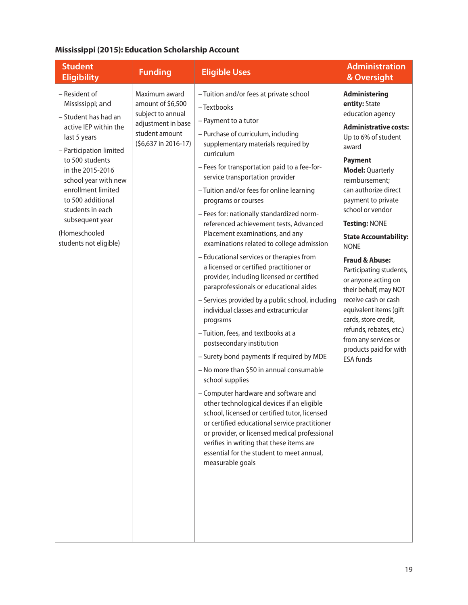## **Mississippi (2015): Education Scholarship Account**

| <b>Student</b><br><b>Eligibility</b>                                                                                                                                                                                                                                                                                      | <b>Funding</b>                                                                                                          | <b>Eligible Uses</b>                                                                                                                                                                                                                                                                                                                                                                                                                                                                                                                                                                                                                                                                                                                                                                                                                                                                                                                                                                                                                                                                                                                                                                                                                                                                                                                    | <b>Administration</b><br>& Oversight                                                                                                                                                                                                                                                                                                                                                                                                                                                                                                                                                                          |
|---------------------------------------------------------------------------------------------------------------------------------------------------------------------------------------------------------------------------------------------------------------------------------------------------------------------------|-------------------------------------------------------------------------------------------------------------------------|-----------------------------------------------------------------------------------------------------------------------------------------------------------------------------------------------------------------------------------------------------------------------------------------------------------------------------------------------------------------------------------------------------------------------------------------------------------------------------------------------------------------------------------------------------------------------------------------------------------------------------------------------------------------------------------------------------------------------------------------------------------------------------------------------------------------------------------------------------------------------------------------------------------------------------------------------------------------------------------------------------------------------------------------------------------------------------------------------------------------------------------------------------------------------------------------------------------------------------------------------------------------------------------------------------------------------------------------|---------------------------------------------------------------------------------------------------------------------------------------------------------------------------------------------------------------------------------------------------------------------------------------------------------------------------------------------------------------------------------------------------------------------------------------------------------------------------------------------------------------------------------------------------------------------------------------------------------------|
| - Resident of<br>Mississippi; and<br>- Student has had an<br>active IEP within the<br>last 5 years<br>- Participation limited<br>to 500 students<br>in the 2015-2016<br>school year with new<br>enrollment limited<br>to 500 additional<br>students in each<br>subsequent year<br>(Homeschooled<br>students not eligible) | Maximum award<br>amount of \$6,500<br>subject to annual<br>adjustment in base<br>student amount<br>(\$6,637 in 2016-17) | - Tuition and/or fees at private school<br>- Textbooks<br>- Payment to a tutor<br>- Purchase of curriculum, including<br>supplementary materials required by<br>curriculum<br>- Fees for transportation paid to a fee-for-<br>service transportation provider<br>- Tuition and/or fees for online learning<br>programs or courses<br>- Fees for: nationally standardized norm-<br>referenced achievement tests, Advanced<br>Placement examinations, and any<br>examinations related to college admission<br>- Educational services or therapies from<br>a licensed or certified practitioner or<br>provider, including licensed or certified<br>paraprofessionals or educational aides<br>- Services provided by a public school, including<br>individual classes and extracurricular<br>programs<br>- Tuition, fees, and textbooks at a<br>postsecondary institution<br>- Surety bond payments if required by MDE<br>- No more than \$50 in annual consumable<br>school supplies<br>- Computer hardware and software and<br>other technological devices if an eligible<br>school, licensed or certified tutor, licensed<br>or certified educational service practitioner<br>or provider, or licensed medical professional<br>verifies in writing that these items are<br>essential for the student to meet annual,<br>measurable goals | <b>Administering</b><br>entity: State<br>education agency<br><b>Administrative costs:</b><br>Up to 6% of student<br>award<br><b>Payment</b><br><b>Model: Quarterly</b><br>reimbursement;<br>can authorize direct<br>payment to private<br>school or vendor<br>Testing: NONE<br><b>State Accountability:</b><br><b>NONE</b><br><b>Fraud &amp; Abuse:</b><br>Participating students,<br>or anyone acting on<br>their behalf, may NOT<br>receive cash or cash<br>equivalent items (gift<br>cards, store credit,<br>refunds, rebates, etc.)<br>from any services or<br>products paid for with<br><b>ESA funds</b> |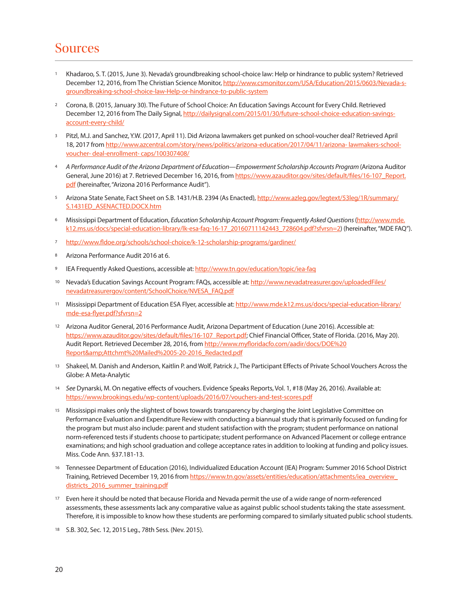# Sources

- <sup>1</sup> Khadaroo, S. T. (2015, June 3). Nevada's groundbreaking school-choice law: Help or hindrance to public system? Retrieved December 12, 2016, from The Christian Science Monitor, http://www.csmonitor.com/USA/Education/2015/0603/Nevada-sgroundbreaking-school-choice-law-Help-or-hindrance-to-public-system
- <sup>2</sup> Corona, B. (2015, January 30). The Future of School Choice: An Education Savings Account for Every Child. Retrieved December 12, 2016 from The Daily Signal, http://dailysignal.com/2015/01/30/future-school-choice-education-savingsaccount-every-child/
- <sup>3</sup> Pitzl, M.J. and Sanchez, Y.W. (2017, April 11). Did Arizona lawmakers get punked on school-voucher deal? Retrieved April 18, 2017 from http://www.azcentral.com/story/news/politics/arizona-education/2017/04/11/arizona- lawmakers-schoolvoucher- deal-enrollment- caps/100307408/
- <sup>4</sup> *A Performance Audit of the Arizona Department of Education—Empowerment Scholarship Accounts Program* (Arizona Auditor General, June 2016) at 7. Retrieved December 16, 2016, from https://www.azauditor.gov/sites/default/files/16-107\_Report. pdf (hereinafter, "Arizona 2016 Performance Audit").
- 5 Arizona State Senate, Fact Sheet on S.B. 1431/H.B. 2394 (As Enacted), http://www.azleg.gov/legtext/53leg/1R/summary/ S.1431ED\_ASENACTED.DOCX.htm
- <sup>6</sup> Mississippi Department of Education, *Education Scholarship Account Program: Frequently Asked Questions* (http://www.mde. k12.ms.us/docs/special-education-library/lk-esa-faq-16-17\_20160711142443\_728604.pdf?sfvrsn=2) (hereinafter, "MDE FAQ").
- 7 http://www.fldoe.org/schools/school-choice/k-12-scholarship-programs/gardiner/
- <sup>8</sup> Arizona Performance Audit 2016 at 6.
- 9 IEA Frequently Asked Questions, accessible at: http://www.tn.gov/education/topic/iea-faq
- 10 Nevada's Education Savings Account Program: FAQs, accessible at: http://www.nevadatreasurer.gov/uploadedFiles/ nevadatreasurergov/content/SchoolChoice/NVESA\_FAQ.pdf
- <sup>11</sup> Mississippi Department of Education ESA Flyer, accessible at: http://www.mde.k12.ms.us/docs/special-education-library/ mde-esa-flyer.pdf?sfvrsn=2
- <sup>12</sup> Arizona Auditor General, 2016 Performance Audit, Arizona Department of Education (June 2016). Accessible at: https://www.azauditor.gov/sites/default/files/16-107\_Report.pdf; Chief Financial Officer, State of Florida. (2016, May 20). Audit Report. Retrieved December 28, 2016, from http://www.myfloridacfo.com/aadir/docs/DOE%20 Report&Attchmt%20Mailed%2005-20-2016\_Redacted.pdf
- <sup>13</sup> Shakeel, M. Danish and Anderson, Kaitlin P. and Wolf, Patrick J., The Participant Effects of Private School Vouchers Across the Globe: A Meta-Analytic
- <sup>14</sup> *See* Dynarski, M. On negative effects of vouchers. Evidence Speaks Reports, Vol. 1, #18 (May 26, 2016). Available at: https://www.brookings.edu/wp-content/uploads/2016/07/vouchers-and-test-scores.pdf
- <sup>15</sup> Mississippi makes only the slightest of bows towards transparency by charging the Joint Legislative Committee on Performance Evaluation and Expenditure Review with conducting a biannual study that is primarily focused on funding for the program but must also include: parent and student satisfaction with the program; student performance on national norm-referenced tests if students choose to participate; student performance on Advanced Placement or college entrance examinations; and high school graduation and college acceptance rates in addition to looking at funding and policy issues. Miss. Code Ann. §37.181-13.
- <sup>16</sup> Tennessee Department of Education (2016), Individualized Education Account (IEA) Program: Summer 2016 School District Training, Retrieved December 19, 2016 from https://www.tn.gov/assets/entities/education/attachments/iea\_overview\_ districts\_2016\_summer\_training.pdf
- <sup>17</sup> Even here it should be noted that because Florida and Nevada permit the use of a wide range of norm-referenced assessments, these assessments lack any comparative value as against public school students taking the state assessment. Therefore, it is impossible to know how these students are performing compared to similarly situated public school students.
- <sup>18</sup> S.B. 302, Sec. 12, 2015 Leg., 78th Sess. (Nev. 2015).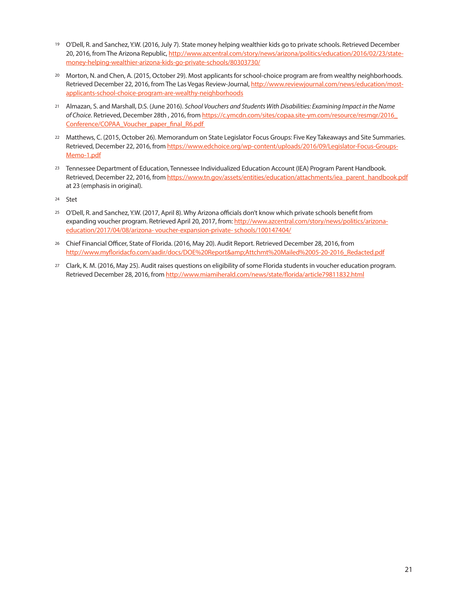- <sup>19</sup> O'Dell, R. and Sanchez, Y.W. (2016, July 7). State money helping wealthier kids go to private schools. Retrieved December 20, 2016, from The Arizona Republic, http://www.azcentral.com/story/news/arizona/politics/education/2016/02/23/statemoney-helping-wealthier-arizona-kids-go-private-schools/80303730/
- <sup>20</sup> Morton, N. and Chen, A. (2015, October 29). Most applicants for school-choice program are from wealthy neighborhoods. Retrieved December 22, 2016, from The Las Vegas Review-Journal, http://www.reviewjournal.com/news/education/mostapplicants-school-choice-program-are-wealthy-neighborhoods
- <sup>21</sup> Almazan, S. and Marshall, D.S. (June 2016). *School Vouchers and Students With Disabilities: Examining Impact in the Name of Choice*. Retrieved, December 28th , 2016, from https://c.ymcdn.com/sites/copaa.site-ym.com/resource/resmgr/2016\_ Conference/COPAA\_Voucher\_paper\_final\_R6.pdf
- <sup>22</sup> Matthews, C. (2015, October 26). Memorandum on State Legislator Focus Groups: Five Key Takeaways and Site Summaries. Retrieved, December 22, 2016, from https://www.edchoice.org/wp-content/uploads/2016/09/Legislator-Focus-Groups-Memo-1.pdf
- <sup>23</sup> Tennessee Department of Education, Tennessee Individualized Education Account (IEA) Program Parent Handbook. Retrieved, December 22, 2016, from https://www.tn.gov/assets/entities/education/attachments/iea\_parent\_handbook.pdf at 23 (emphasis in original).
- <sup>24</sup> Stet
- <sup>25</sup> O'Dell, R. and Sanchez, Y.W. (2017, April 8). Why Arizona officials don't know which private schools benefit from expanding voucher program. Retrieved April 20, 2017, from: http://www.azcentral.com/story/news/politics/arizonaeducation/2017/04/08/arizona- voucher-expansion-private- schools/100147404/
- <sup>26</sup> Chief Financial Officer, State of Florida. (2016, May 20). Audit Report. Retrieved December 28, 2016, from http://www.myfloridacfo.com/aadir/docs/DOE%20Report&Attchmt%20Mailed%2005-20-2016\_Redacted.pdf
- <sup>27</sup> Clark, K. M. (2016, May 25). Audit raises questions on eligibility of some Florida students in voucher education program. Retrieved December 28, 2016, from http://www.miamiherald.com/news/state/florida/article79811832.html